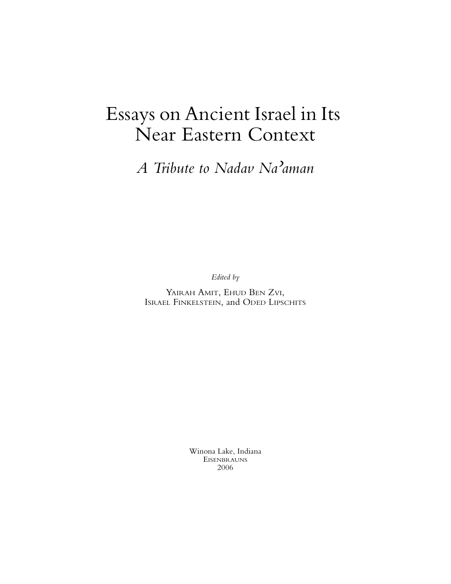## Essays on Ancient Israel in Its Near Eastern Context

*A Tribute to Nadav Naªaman*

*Edited by*

Yairah Amit, Ehud Ben Zvi, Israel Finkelstein, and Oded Lipschits

> Winona Lake, Indiana **EISENBRAUNS** 2006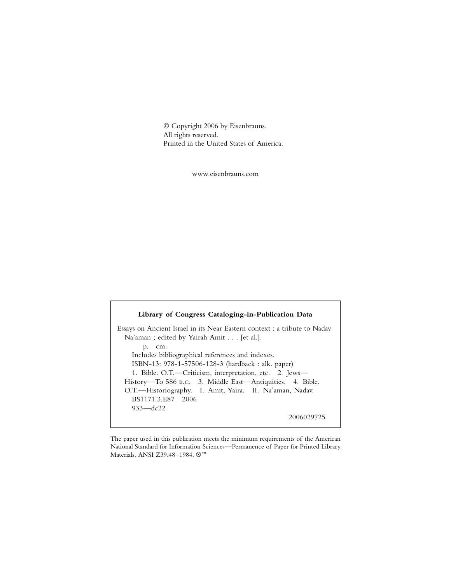$©$  Copyright 2006 by Eisenbrauns. All rights reserved. Printed in the United States of America.

www.eisenbrauns.com



The paper used in this publication meets the minimum requirements of the American National Standard for Information Sciences—Permanence of Paper for Printed Library Materials, ANSI Z39.48-1984. <sup>®™</sup>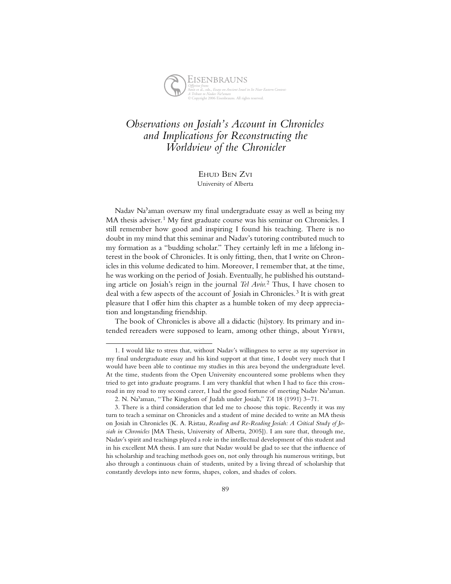

## *Observations on Josiah's Account in Chronicles and Implications for Reconstructing the Worldview of the Chronicler*

Ehud Ben Zvi University of Alberta

Nadav Naªaman oversaw my final undergraduate essay as well as being my MA thesis adviser.<sup>1</sup> My first graduate course was his seminar on Chronicles. I still remember how good and inspiring I found his teaching. There is no doubt in my mind that this seminar and Nadav's tutoring contributed much to my formation as a "budding scholar." They certainly left in me a lifelong interest in the book of Chronicles. It is only fitting, then, that I write on Chronicles in this volume dedicated to him. Moreover, I remember that, at the time, he was working on the period of Josiah. Eventually, he published his outstanding article on Josiah's reign in the journal *Tel Aviv*.2 Thus, I have chosen to deal with a few aspects of the account of Josiah in Chronicles.<sup>3</sup> It is with great pleasure that I offer him this chapter as a humble token of my deep appreciation and longstanding friendship.

The book of Chronicles is above all a didactic (hi)story. Its primary and intended rereaders were supposed to learn, among other things, about Yhwh,

<sup>1.</sup> I would like to stress that, without Nadav's willingness to serve as my supervisor in my final undergraduate essay and his kind support at that time, I doubt very much that I would have been able to continue my studies in this area beyond the undergraduate level. At the time, students from the Open University encountered some problems when they tried to get into graduate programs. I am very thankful that when I had to face this crossroad in my road to my second career, I had the good fortune of meeting Nadav Naªaman.

<sup>2.</sup> N. Naªaman, "The Kingdom of Judah under Josiah," *TA* 18 (1991) 3–71.

<sup>3.</sup> There is a third consideration that led me to choose this topic. Recently it was my turn to teach a seminar on Chronicles and a student of mine decided to write an MA thesis on Josiah in Chronicles (K. A. Ristau, *Reading and Re-Reading Josiah: A Critical Study of Josiah in Chronicles* [MA Thesis, University of Alberta, 2005]). I am sure that, through me, Nadav's spirit and teachings played a role in the intellectual development of this student and in his excellent MA thesis. I am sure that Nadav would be glad to see that the influence of his scholarship and teaching methods goes on, not only through his numerous writings, but also through a continuous chain of students, united by a living thread of scholarship that constantly develops into new forms, shapes, colors, and shades of colors.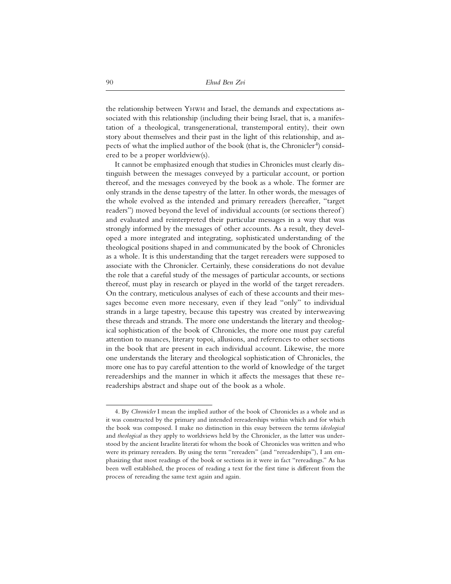the relationship between Yhwh and Israel, the demands and expectations associated with this relationship (including their being Israel, that is, a manifestation of a theological, transgenerational, transtemporal entity), their own story about themselves and their past in the light of this relationship, and aspects of what the implied author of the book (that is, the Chronicler<sup>4</sup>) considered to be a proper worldview(s).

It cannot be emphasized enough that studies in Chronicles must clearly distinguish between the messages conveyed by a particular account, or portion thereof, and the messages conveyed by the book as a whole. The former are only strands in the dense tapestry of the latter. In other words, the messages of the whole evolved as the intended and primary rereaders (hereafter, "target readers") moved beyond the level of individual accounts (or sections thereof ) and evaluated and reinterpreted their particular messages in a way that was strongly informed by the messages of other accounts. As a result, they developed a more integrated and integrating, sophisticated understanding of the theological positions shaped in and communicated by the book of Chronicles as a whole. It is this understanding that the target rereaders were supposed to associate with the Chronicler. Certainly, these considerations do not devalue the role that a careful study of the messages of particular accounts, or sections thereof, must play in research or played in the world of the target rereaders. On the contrary, meticulous analyses of each of these accounts and their messages become even more necessary, even if they lead "only" to individual strands in a large tapestry, because this tapestry was created by interweaving these threads and strands. The more one understands the literary and theological sophistication of the book of Chronicles, the more one must pay careful attention to nuances, literary topoi, allusions, and references to other sections in the book that are present in each individual account. Likewise, the more one understands the literary and theological sophistication of Chronicles, the more one has to pay careful attention to the world of knowledge of the target rereaderships and the manner in which it affects the messages that these rereaderships abstract and shape out of the book as a whole.

<sup>4.</sup> By *Chronicler* I mean the implied author of the book of Chronicles as a whole and as it was constructed by the primary and intended rereaderships within which and for which the book was composed. I make no distinction in this essay between the terms *ideological* and *theological* as they apply to worldviews held by the Chronicler, as the latter was understood by the ancient Israelite literati for whom the book of Chronicles was written and who were its primary rereaders. By using the term "rereaders" (and "rereaderships"), I am emphasizing that most readings of the book or sections in it were in fact "rereadings." As has been well established, the process of reading a text for the first time is different from the process of rereading the same text again and again.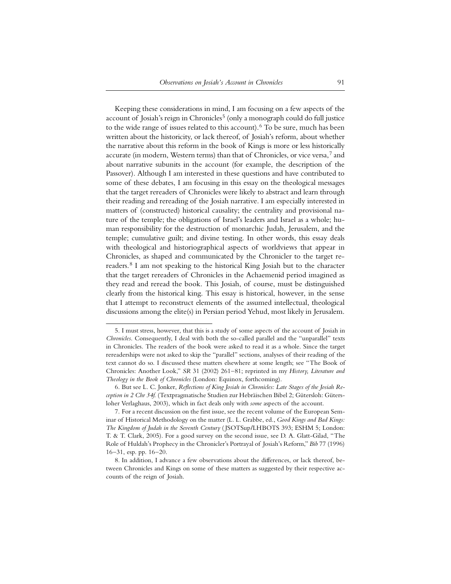Keeping these considerations in mind, I am focusing on a few aspects of the

account of Josiah's reign in Chronicles<sup>5</sup> (only a monograph could do full justice to the wide range of issues related to this account).6 To be sure, much has been written about the historicity, or lack thereof, of Josiah's reform, about whether the narrative about this reform in the book of Kings is more or less historically accurate (in modern, Western terms) than that of Chronicles, or vice versa,<sup>7</sup> and about narrative subunits in the account (for example, the description of the Passover). Although I am interested in these questions and have contributed to some of these debates, I am focusing in this essay on the theological messages that the target rereaders of Chronicles were likely to abstract and learn through their reading and rereading of the Josiah narrative. I am especially interested in matters of (constructed) historical causality; the centrality and provisional nature of the temple; the obligations of Israel's leaders and Israel as a whole; human responsibility for the destruction of monarchic Judah, Jerusalem, and the temple; cumulative guilt; and divine testing. In other words, this essay deals with theological and historiographical aspects of worldviews that appear in Chronicles, as shaped and communicated by the Chronicler to the target rereaders.8 I am not speaking to the historical King Josiah but to the character that the target rereaders of Chronicles in the Achaemenid period imagined as they read and reread the book. This Josiah, of course, must be distinguished clearly from the historical king. This essay is historical, however, in the sense that I attempt to reconstruct elements of the assumed intellectual, theological discussions among the elite(s) in Persian period Yehud, most likely in Jerusalem.

<sup>5.</sup> I must stress, however, that this is a study of some aspects of the account of Josiah in *Chronicles*. Consequently, I deal with both the so-called parallel and the "unparallel" texts in Chronicles. The readers of the book were asked to read it as a whole. Since the target rereaderships were not asked to skip the "parallel" sections, analyses of their reading of the text cannot do so. I discussed these matters elsewhere at some length; see "The Book of Chronicles: Another Look," *SR* 31 (2002) 261–81; reprinted in my *History, Literature and Theology in the Book of Chronicles* (London: Equinox, forthcoming).

<sup>6.</sup> But see L. C. Jonker, *Reflections of King Josiah in Chronicles: Late Stages of the Josiah Reception in 2 Chr 34f.* (Textpragmatische Studien zur Hebräischen Bibel 2; Gütersloh: Gütersloher Verlaghaus, 2003), which in fact deals only with *some* aspects of the account.

<sup>7.</sup> For a recent discussion on the first issue, see the recent volume of the European Seminar of Historical Methodology on the matter (L. L. Grabbe, ed., *Good Kings and Bad Kings: The Kingdom of Judah in the Seventh Century* ( JSOTSup/LHBOTS 393; ESHM 5; London: T. & T. Clark, 2005). For a good survey on the second issue, see D. A. Glatt-Gilad, "The Role of Huldah's Prophecy in the Chronicler's Portrayal of Josiah's Reform," *Bib* 77 (1996) 16–31, esp. pp. 16–20.

<sup>8.</sup> In addition, I advance a few observations about the differences, or lack thereof, between Chronicles and Kings on some of these matters as suggested by their respective accounts of the reign of Josiah.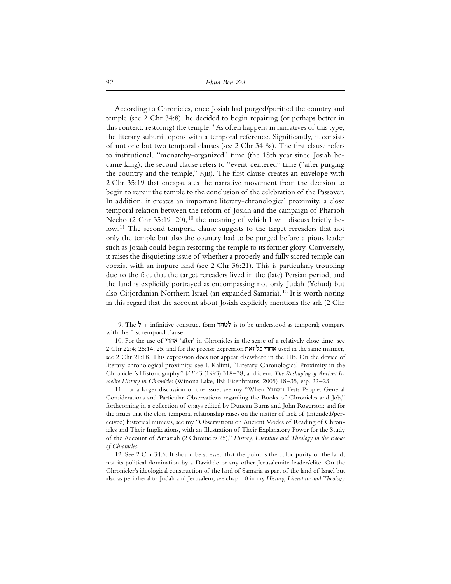According to Chronicles, once Josiah had purged/purified the country and temple (see 2 Chr 34:8), he decided to begin repairing (or perhaps better in this context: restoring) the temple.<sup>9</sup> As often happens in narratives of this type, the literary subunit opens with a temporal reference. Significantly, it consists of not one but two temporal clauses (see 2 Chr 34:8a). The first clause refers to institutional, "monarchy-organized" time (the 18th year since Josiah became king); the second clause refers to "event-centered" time ("after purging the country and the temple," njb). The first clause creates an envelope with 2 Chr 35:19 that encapsulates the narrative movement from the decision to begin to repair the temple to the conclusion of the celebration of the Passover. In addition, it creates an important literary-chronological proximity, a close temporal relation between the reform of Josiah and the campaign of Pharaoh Necho (2 Chr 35:19–20), <sup>10</sup> the meaning of which I will discuss briefly below.<sup>11</sup> The second temporal clause suggests to the target rereaders that not only the temple but also the country had to be purged before a pious leader such as Josiah could begin restoring the temple to its former glory. Conversely, it raises the disquieting issue of whether a properly and fully sacred temple can coexist with an impure land (see 2 Chr 36:21). This is particularly troubling due to the fact that the target rereaders lived in the (late) Persian period, and the land is explicitly portrayed as encompassing not only Judah (Yehud) but also Cisjordanian Northern Israel (an expanded Samaria).12 It is worth noting in this regard that the account about Josiah explicitly mentions the ark (2 Chr

11. For a larger discussion of the issue, see my "When Yhwh Tests People: General Considerations and Particular Observations regarding the Books of Chronicles and Job," forthcoming in a collection of essays edited by Duncan Burns and John Rogerson; and for the issues that the close temporal relationship raises on the matter of lack of (intended/perceived) historical mimesis, see my "Observations on Ancient Modes of Reading of Chronicles and Their Implications, with an Illustration of Their Explanatory Power for the Study of the Account of Amaziah (2 Chronicles 25)," *History, Literature and Theology in the Books of Chronicles*.

12. See 2 Chr 34:6. It should be stressed that the point is the cultic purity of the land, not its political domination by a Davidide or any other Jerusalemite leader/elite. On the Chronicler's ideological construction of the land of Samaria as part of the land of Israel but also as peripheral to Judah and Jerusalem, see chap. 10 in my *History, Literature and Theology*

<sup>9.</sup> The  $\frac{1}{2}$  + infinitive construct form לטהר is to be understood as temporal; compare with the first temporal clause.

<sup>10.</sup> For the use of yrja 'after' in Chronicles in the sense of a relatively close time, see  $2$  Chr 22:4; 25:14, 25; and for the precise expression אחרי כל זאת used in the same manner, see 2 Chr 21:18. This expression does not appear elsewhere in the HB. On the device of literary-chronological proximity, see I. Kalimi, "Literary-Chronological Proximity in the Chronicler's Historiography," *VT* 43 (1993) 318–38; and idem, *The Reshaping of Ancient Israelite History in Chronicles* (Winona Lake, IN: Eisenbrauns, 2005) 18–35, esp. 22–23.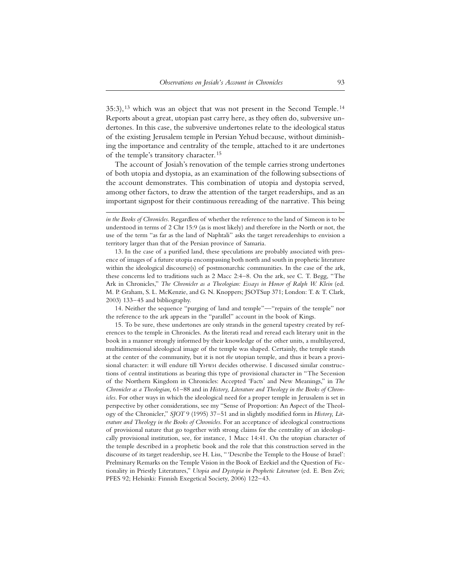$35:3$ ,  $^{13}$  which was an object that was not present in the Second Temple.<sup>14</sup> Reports about a great, utopian past carry here, as they often do, subversive undertones. In this case, the subversive undertones relate to the ideological status of the existing Jerusalem temple in Persian Yehud because, without diminishing the importance and centrality of the temple, attached to it are undertones of the temple's transitory character.15

The account of Josiah's renovation of the temple carries strong undertones of both utopia and dystopia, as an examination of the following subsections of the account demonstrates. This combination of utopia and dystopia served, among other factors, to draw the attention of the target readerships, and as an important signpost for their continuous rereading of the narrative. This being

*in the Books of Chronicles*. Regardless of whether the reference to the land of Simeon is to be understood in terms of 2 Chr 15:9 (as is most likely) and therefore in the North or not, the use of the term "as far as the land of Naphtali" asks the target rereaderships to envision a territory larger than that of the Persian province of Samaria.

13. In the case of a purified land, these speculations are probably associated with presence of images of a future utopia encompassing both north and south in prophetic literature within the ideological discourse(s) of postmonarchic communities. In the case of the ark, these concerns led to traditions such as 2 Macc 2:4–8. On the ark, see C. T. Begg, "The Ark in Chronicles," *The Chronicler as a Theologian: Essays in Honor of Ralph W. Klein* (ed. M. P. Graham, S. L. McKenzie, and G. N. Knoppers; JSOTSup 371; London: T. & T. Clark, 2003) 133–45 and bibliography.

14. Neither the sequence "purging of land and temple"—"repairs of the temple" nor the reference to the ark appears in the "parallel" account in the book of Kings.

15. To be sure, these undertones are only strands in the general tapestry created by references to the temple in Chronicles. As the literati read and reread each literary unit in the book in a manner strongly informed by their knowledge of the other units, a multilayered, multidimensional ideological image of the temple was shaped. Certainly, the temple stands at the center of the community, but it is not *the* utopian temple, and thus it bears a provisional character: it will endure till Yhwh decides otherwise. I discussed similar constructions of central institutions as bearing this type of provisional character in "The Secession of the Northern Kingdom in Chronicles: Accepted 'Facts' and New Meanings," in *The Chronicler as a Theologian*, 61–88 and in *History, Literature and Theology in the Books of Chronicles*. For other ways in which the ideological need for a proper temple in Jerusalem is set in perspective by other considerations, see my "Sense of Proportion: An Aspect of the Theology of the Chronicler," *SJOT* 9 (1995) 37–51 and in slightly modified form in *History, Literature and Theology in the Books of Chronicles*. For an acceptance of ideological constructions of provisional nature that go together with strong claims for the centrality of an ideologically provisional institution, see, for instance, 1 Macc 14:41. On the utopian character of the temple described in a prophetic book and the role that this construction served in the discourse of its target readership, see H. Liss, "'Describe the Temple to the House of Israel': Prelminary Remarks on the Temple Vision in the Book of Ezekiel and the Question of Fictionality in Priestly Literatures," *Utopia and Dystopia in Prophetic Literature* (ed. E. Ben Zvi; PFES 92; Helsinki: Finnish Exegetical Society, 2006) 122–43.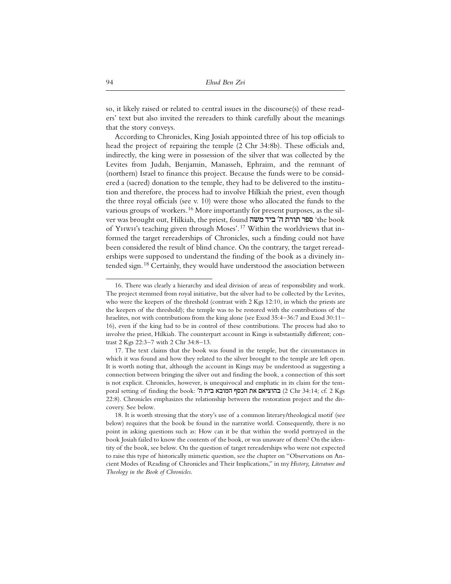so, it likely raised or related to central issues in the discourse(s) of these readers' text but also invited the rereaders to think carefully about the meanings that the story conveys.

According to Chronicles, King Josiah appointed three of his top officials to head the project of repairing the temple (2 Chr 34:8b). These officials and, indirectly, the king were in possession of the silver that was collected by the Levites from Judah, Benjamin, Manasseh, Ephraim, and the remnant of (northern) Israel to finance this project. Because the funds were to be considered a (sacred) donation to the temple, they had to be delivered to the institution and therefore, the process had to involve Hilkiah the priest, even though the three royal officials (see v. 10) were those who allocated the funds to the various groups of workers.<sup>16</sup> More importantly for present purposes, as the silver was brought out, Hilkiah, the priest, found **בר תורת ה' ביד משה** 'the book of Yhwh's teaching given through Moses'.17 Within the worldviews that informed the target rereaderships of Chronicles, such a finding could not have been considered the result of blind chance. On the contrary, the target rereaderships were supposed to understand the finding of the book as a divinely intended sign.<sup>18</sup> Certainly, they would have understood the association between

<sup>16.</sup> There was clearly a hierarchy and ideal division of areas of responsibility and work. The project stemmed from royal initiative, but the silver had to be collected by the Levites, who were the keepers of the threshold (contrast with 2 Kgs 12:10, in which the priests are the keepers of the threshold); the temple was to be restored with the contributions of the Israelites, not with contributions from the king alone (see Exod 35:4–36:7 and Exod 30:11– 16), even if the king had to be in control of these contributions. The process had also to involve the priest, Hilkiah. The counterpart account in Kings is substantially different; contrast 2 Kgs 22:3–7 with 2 Chr 34:8–13.

<sup>17.</sup> The text claims that the book was found in the temple, but the circumstances in which it was found and how they related to the silver brought to the temple are left open. It is worth noting that, although the account in Kings may be understood as suggesting a connection between bringing the silver out and finding the book, a connection of this sort is not explicit. Chronicles, however, is unequivocal and emphatic in its claim for the temporal setting of finding the book: בהוציאם את הכסף המובא בית ה $(2 \text{ Chr } 34:14; \text{ cf. } 2 \text{ Kgs }$ 22:8). Chronicles emphasizes the relationship between the restoration project and the discovery. See below.

<sup>18.</sup> It is worth stressing that the story's use of a common literary/theological motif (see below) requires that the book be found in the narrative world. Consequently, there is no point in asking questions such as: How can it be that within the world portrayed in the book Josiah failed to know the contents of the book, or was unaware of them? On the identity of the book, see below. On the question of target rereaderships who were not expected to raise this type of historically mimetic question, see the chapter on "Observations on Ancient Modes of Reading of Chronicles and Their Implications," in my *History, Literature and Theology in the Book of Chronicles*.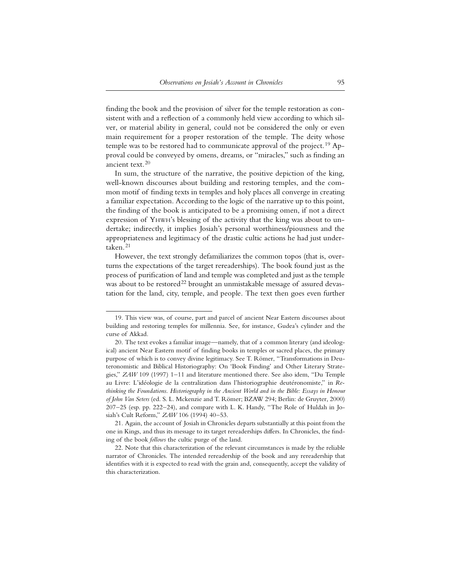finding the book and the provision of silver for the temple restoration as consistent with and a reflection of a commonly held view according to which silver, or material ability in general, could not be considered the only or even main requirement for a proper restoration of the temple. The deity whose temple was to be restored had to communicate approval of the project.<sup>19</sup> Approval could be conveyed by omens, dreams, or "miracles," such as finding an ancient text.20

In sum, the structure of the narrative, the positive depiction of the king, well-known discourses about building and restoring temples, and the common motif of finding texts in temples and holy places all converge in creating a familiar expectation. According to the logic of the narrative up to this point, the finding of the book is anticipated to be a promising omen, if not a direct expression of Yhwh's blessing of the activity that the king was about to undertake; indirectly, it implies Josiah's personal worthiness/piousness and the appropriateness and legitimacy of the drastic cultic actions he had just undertaken.21

However, the text strongly defamiliarizes the common topos (that is, overturns the expectations of the target rereaderships). The book found just as the process of purification of land and temple was completed and just as the temple was about to be restored<sup>22</sup> brought an unmistakable message of assured devastation for the land, city, temple, and people. The text then goes even further

<sup>19.</sup> This view was, of course, part and parcel of ancient Near Eastern discourses about building and restoring temples for millennia. See, for instance, Gudea's cylinder and the curse of Akkad.

<sup>20.</sup> The text evokes a familiar image—namely, that of a common literary (and ideological) ancient Near Eastern motif of finding books in temples or sacred places, the primary purpose of which is to convey divine legitimacy. See T. Römer, "Transformations in Deuteronomistic and Biblical Historiography: On 'Book Finding' and Other Literary Strategies," *ZAW* 109 (1997) 1–11 and literature mentioned there. See also idem, "Du Temple au Livre: L'idéologie de la centralization dans l'historiographie deutéronomiste," in *Rethinking the Foundations. Historiography in the Ancient World and in the Bible: Essays in Honour of John Van Seters* (ed. S. L. Mckenzie and T. Römer; BZAW 294; Berlin: de Gruyter, 2000) 207–25 (esp. pp. 222–24), and compare with L. K. Handy, "The Role of Huldah in Josiah's Cult Reform," *ZAW* 106 (1994) 40–53.

<sup>21.</sup> Again, the account of Josiah in Chronicles departs substantially at this point from the one in Kings, and thus its message to its target rereaderships differs. In Chronicles, the finding of the book *follows* the cultic purge of the land.

<sup>22.</sup> Note that this characterization of the relevant circumstances is made by the reliable narrator of Chronicles. The intended rereadership of the book and any rereadership that identifies with it is expected to read with the grain and, consequently, accept the validity of this characterization.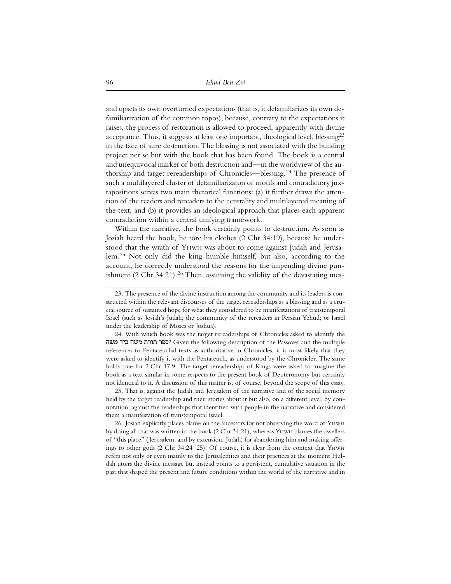and upsets its own overturned expectations (that is, it defamiliarizes its own defamiliarization of the common topos), because, contrary to the expectations it raises, the process of restoration is allowed to proceed, apparently with divine acceptance. Thus, it suggests at least one important, theological level, blessing<sup>23</sup> in the face of sure destruction. The blessing is not associated with the building project per se but with the book that has been found. The book is a central and unequivocal marker of both destruction and—in the worldview of the authorship and target rereaderships of Chronicles—blessing.24 The presence of such a multilayered cluster of defamiliarizaton of motifs and contradictory juxtapositions serves two main rhetorical functions: (a) it further draws the attention of the readers and rereaders to the centrality and multilayered meaning of the text, and (b) it provides an ideological approach that places each apparent contradiction within a central unifying framework.

Within the narrative, the book certainly points to destruction. As soon as Josiah heard the book, he tore his clothes (2 Chr 34:19), because he understood that the wrath of Yhwh was about to come against Judah and Jerusalem.25 Not only did the king humble himself, but also, according to the account, he correctly understood the reasons for the impending divine punishment (2 Chr 34:21).<sup>26</sup> Then, assuming the validity of the devastating mes-

25. That is, against the Judah and Jerusalem of the narrative and of the social memory held by the target readership and their stories about it but also, on a different level, by connotation, against the readerships that identified with people in the narrative and considered them a manifestation of transtemporal Israel.

26. Josiah explicitly places blame on the ancestors for not observing the word of Yhwh by doing all that was written in the book (2 Chr 34:21), whereas Yhwh blames the dwellers of "this place" ( Jerusalem, and by extension, Judah) for abandoning him and making offerings to other gods (2 Chr 34:24–25). Of course, it is clear from the context that Yhwh refers not only or even mainly to the Jerusalemites and their practices at the moment Huldah utters the divine message but instead points to a persistent, cumulative situation in the past that shaped the present and future conditions within the world of the narrative and in

<sup>23.</sup> The presence of the divine instruction among the community and its leaders is constructed within the relevant discourses of the target rereaderships as a blessing and as a crucial source of sustained hope for what they considered to be manifestations of transtemporal Israel (such as Josiah's Judah; the community of the rereaders in Persian Yehud; or Israel under the leadership of Moses or Joshua).

<sup>24.</sup> With which book was the target rereaderships of Chronicles asked to identify the ספר תורת משה ביד משה? Given the following description of the Passover and the multiple references to Pentateuchal texts as authoritative in Chronicles, it is most likely that they were asked to identify it with the Pentateuch, as understood by the Chronicler. The same holds true for 2 Chr 17:9. The target rereaderships of Kings were asked to imagine the book as a text similar in some respects to the present book of Deuteronomy but certainly not identical to it. A discussion of this matter is, of course, beyond the scope of this essay.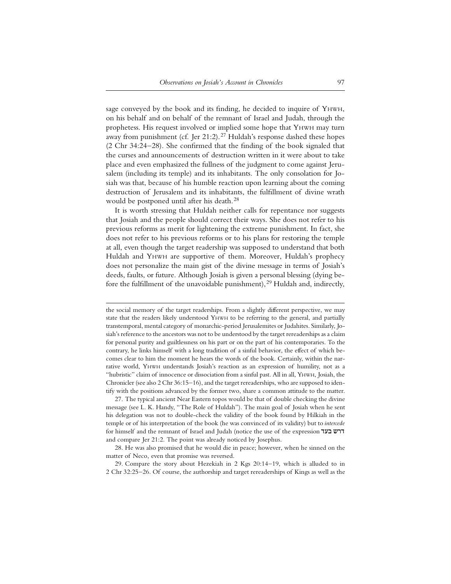sage conveyed by the book and its finding, he decided to inquire of Yhwh, on his behalf and on behalf of the remnant of Israel and Judah, through the prophetess. His request involved or implied some hope that Yhwh may turn away from punishment (cf. Jer  $21:2$ ).<sup>27</sup> Huldah's response dashed these hopes (2 Chr 34:24–28). She confirmed that the finding of the book signaled that the curses and announcements of destruction written in it were about to take place and even emphasized the fullness of the judgment to come against Jerusalem (including its temple) and its inhabitants. The only consolation for Josiah was that, because of his humble reaction upon learning about the coming destruction of Jerusalem and its inhabitants, the fulfillment of divine wrath would be postponed until after his death.28

It is worth stressing that Huldah neither calls for repentance nor suggests that Josiah and the people should correct their ways. She does not refer to his previous reforms as merit for lightening the extreme punishment. In fact, she does not refer to his previous reforms or to his plans for restoring the temple at all, even though the target readership was supposed to understand that both Huldah and Yhwh are supportive of them. Moreover, Huldah's prophecy does not personalize the main gist of the divine message in terms of Josiah's deeds, faults, or future. Although Josiah is given a personal blessing (dying before the fulfillment of the unavoidable punishment),  $29$  Huldah and, indirectly,

the social memory of the target readerships. From a slightly different perspective, we may state that the readers likely understood Yhwh to be referring to the general, and partially transtemporal, mental category of monarchic-period Jerusalemites or Judahites. Similarly, Josiah's reference to the ancestors was not to be understood by the target rereaderships as a claim for personal purity and guiltlessness on his part or on the part of his contemporaries. To the contrary, he links himself with a long tradition of a sinful behavior, the effect of which becomes clear to him the moment he hears the words of the book. Certainly, within the narrative world, Yhwh understands Josiah's reaction as an expression of humility, not as a "hubristic" claim of innocence or dissociation from a sinful past. All in all, Yhwh, Josiah, the Chronicler (see also 2 Chr 36:15–16), and the target rereaderships, who are supposed to identify with the positions advanced by the former two, share a common attitude to the matter.

27. The typical ancient Near Eastern topos would be that of double checking the divine message (see L. K. Handy, "The Role of Huldah"). The main goal of Josiah when he sent his delegation was not to double-check the validity of the book found by Hilkiah in the temple or of his interpretation of the book (he was convinced of its validity) but to *intercede* for himself and the remnant of Israel and Judah (notice the use of the expression  $\overline{I}$ and compare Jer 21:2. The point was already noticed by Josephus.

28. He was also promised that he would die in peace; however, when he sinned on the matter of Neco, even that promise was reversed.

29. Compare the story about Hezekiah in 2 Kgs 20:14–19, which is alluded to in 2 Chr 32:25–26. Of course, the authorship and target rereaderships of Kings as well as the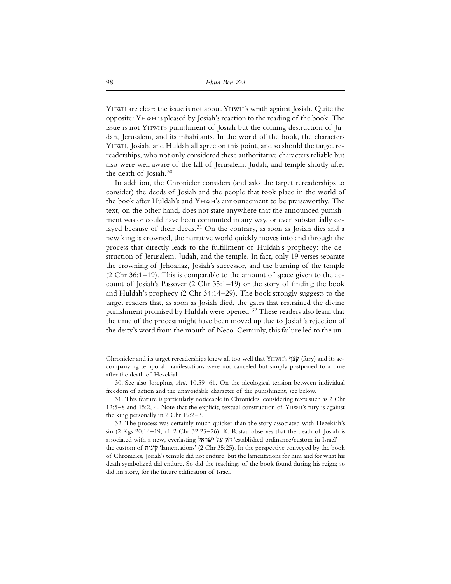Yhwh are clear: the issue is not about Yhwh's wrath against Josiah. Quite the opposite: Yhwh is pleased by Josiah's reaction to the reading of the book. The issue is not Yhwh's punishment of Josiah but the coming destruction of Judah, Jerusalem, and its inhabitants. In the world of the book, the characters Yhwh, Josiah, and Huldah all agree on this point, and so should the target rereaderships, who not only considered these authoritative characters reliable but also were well aware of the fall of Jerusalem, Judah, and temple shortly after the death of Josiah.30

In addition, the Chronicler considers (and asks the target rereaderships to consider) the deeds of Josiah and the people that took place in the world of the book after Huldah's and Yhwh's announcement to be praiseworthy. The text, on the other hand, does not state anywhere that the announced punishment was or could have been commuted in any way, or even substantially delayed because of their deeds.<sup>31</sup> On the contrary, as soon as Josiah dies and a new king is crowned, the narrative world quickly moves into and through the process that directly leads to the fulfillment of Huldah's prophecy: the destruction of Jerusalem, Judah, and the temple. In fact, only 19 verses separate the crowning of Jehoahaz, Josiah's successor, and the burning of the temple (2 Chr 36:1–19). This is comparable to the amount of space given to the account of Josiah's Passover (2 Chr 35:1–19) or the story of finding the book and Huldah's prophecy (2 Chr 34:14–29). The book strongly suggests to the target readers that, as soon as Josiah died, the gates that restrained the divine punishment promised by Huldah were opened.<sup>32</sup> These readers also learn that the time of the process might have been moved up due to Josiah's rejection of the deity's word from the mouth of Neco. Certainly, this failure led to the un-

Chronicler and its target rereaderships knew all too well that YHWH's קצף (fury) and its accompanying temporal manifestations were not canceled but simply postponed to a time after the death of Hezekiah.

<sup>30.</sup> See also Josephus, *Ant*. 10.59–61. On the ideological tension between individual freedom of action and the unavoidable character of the punishment, see below.

<sup>31.</sup> This feature is particularly noticeable in Chronicles, considering texts such as 2 Chr 12:5–8 and 15:2, 4. Note that the explicit, textual construction of Yhwh's fury is against the king personally in 2 Chr 19:2–3.

<sup>32.</sup> The process was certainly much quicker than the story associated with Hezekiah's sin (2 Kgs 20:14–19; cf. 2 Chr 32:25–26). K. Ristau observes that the death of Josiah is associated with a new, everlasting **וק על ישראל e**stablished ordinance/custom in Israel' the custom of קינות 'lamentations' (2 Chr 35:25). In the perspective conveyed by the book of Chronicles, Josiah's temple did not endure, but the lamentations for him and for what his death symbolized did endure. So did the teachings of the book found during his reign; so did his story, for the future edification of Israel.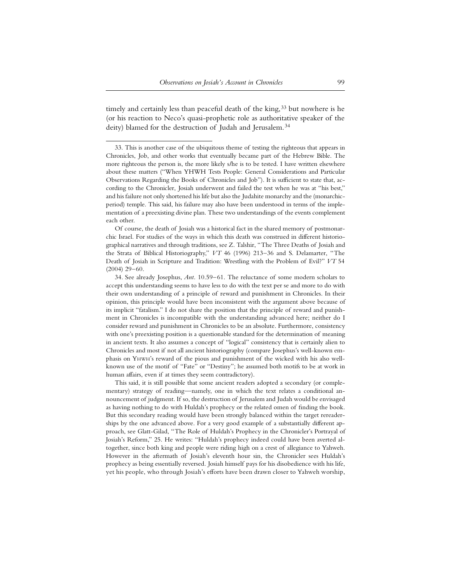timely and certainly less than peaceful death of the king,  $33$  but nowhere is he (or his reaction to Neco's quasi-prophetic role as authoritative speaker of the deity) blamed for the destruction of Judah and Jerusalem.<sup>34</sup>

Of course, the death of Josiah was a historical fact in the shared memory of postmonarchic Israel. For studies of the ways in which this death was construed in different historiographical narratives and through traditions, see Z. Talshir, "The Three Deaths of Josiah and the Strata of Biblical Historiography," *VT* 46 (1996) 213–36 and S. Delamarter, "The Death of Josiah in Scripture and Tradition: Wrestling with the Problem of Evil?" *VT* 54 (2004) 29–60.

34. See already Josephus, *Ant.* 10.59–61. The reluctance of some modern scholars to accept this understanding seems to have less to do with the text per se and more to do with their own understanding of a principle of reward and punishment in Chronicles. In their opinion, this principle would have been inconsistent with the argument above because of its implicit "fatalism." I do not share the position that the principle of reward and punishment in Chronicles is incompatible with the understanding advanced here; neither do I consider reward and punishment in Chronicles to be an absolute. Furthermore, consistency with one's preexisting position is a questionable standard for the determination of meaning in ancient texts. It also assumes a concept of "logical" consistency that is certainly alien to Chronicles and most if not all ancient historiography (compare Josephus's well-known emphasis on Yhwh's reward of the pious and punishment of the wicked with his also wellknown use of the motif of "Fate" or "Destiny"; he assumed both motifs to be at work in human affairs, even if at times they seem contradictory).

This said, it is still possible that some ancient readers adopted a secondary (or complementary) strategy of reading—namely, one in which the text relates a conditional announcement of judgment. If so, the destruction of Jerusalem and Judah would be envisaged as having nothing to do with Huldah's prophecy or the related omen of finding the book. But this secondary reading would have been strongly balanced within the target rereaderships by the one advanced above. For a very good example of a substantially different approach, see Glatt-Gilad, "The Role of Huldah's Prophecy in the Chronicler's Portrayal of Josiah's Reform," 25. He writes: "Huldah's prophecy indeed could have been averted altogether, since both king and people were riding high on a crest of allegiance to Yahweh. However in the aftermath of Josiah's eleventh hour sin, the Chronicler sees Huldah's prophecy as being essentially reversed. Josiah himself pays for his disobedience with his life, yet his people, who through Josiah's efforts have been drawn closer to Yahweh worship,

<sup>33.</sup> This is another case of the ubiquitous theme of testing the righteous that appears in Chronicles, Job, and other works that eventually became part of the Hebrew Bible. The more righteous the person is, the more likely s/he is to be tested. I have written elsewhere about these matters ("When YHWH Tests People: General Considerations and Particular Observations Regarding the Books of Chronicles and Job"). It is sufficient to state that, according to the Chronicler, Josiah underwent and failed the test when he was at "his best," and his failure not only shortened his life but also the Judahite monarchy and the (monarchicperiod) temple. This said, his failure may also have been understood in terms of the implementation of a preexisting divine plan. These two understandings of the events complement each other.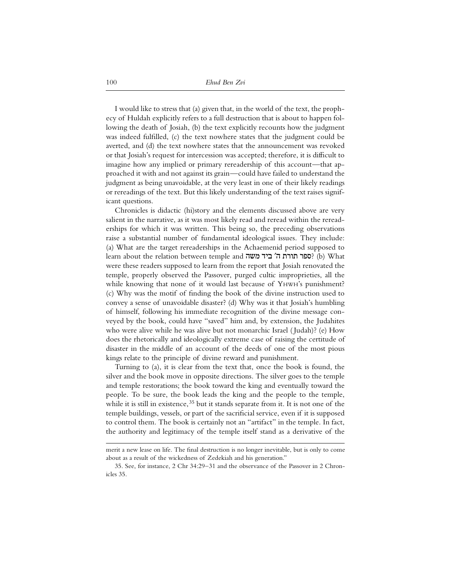I would like to stress that (a) given that, in the world of the text, the prophecy of Huldah explicitly refers to a full destruction that is about to happen following the death of Josiah, (b) the text explicitly recounts how the judgment was indeed fulfilled, (c) the text nowhere states that the judgment could be averted, and (d) the text nowhere states that the announcement was revoked or that Josiah's request for intercession was accepted; therefore, it is difficult to imagine how any implied or primary rereadership of this account—that approached it with and not against its grain—could have failed to understand the judgment as being unavoidable, at the very least in one of their likely readings or rereadings of the text. But this likely understanding of the text raises significant questions.

Chronicles is didactic (hi)story and the elements discussed above are very salient in the narrative, as it was most likely read and reread within the rereaderships for which it was written. This being so, the preceding observations raise a substantial number of fundamental ideological issues. They include: (a) What are the target rereaderships in the Achaemenid period supposed to learn about the relation between temple and יורת ה' ביד משה? (b) What were these readers supposed to learn from the report that Josiah renovated the temple, properly observed the Passover, purged cultic improprieties, all the while knowing that none of it would last because of Yhwh's punishment? (c) Why was the motif of finding the book of the divine instruction used to convey a sense of unavoidable disaster? (d) Why was it that Josiah's humbling of himself, following his immediate recognition of the divine message conveyed by the book, could have "saved" him and, by extension, the Judahites who were alive while he was alive but not monarchic Israel ( Judah)? (e) How does the rhetorically and ideologically extreme case of raising the certitude of disaster in the middle of an account of the deeds of one of the most pious kings relate to the principle of divine reward and punishment.

Turning to (a), it is clear from the text that, once the book is found, the silver and the book move in opposite directions. The silver goes to the temple and temple restorations; the book toward the king and eventually toward the people. To be sure, the book leads the king and the people to the temple, while it is still in existence,  $35$  but it stands separate from it. It is not one of the temple buildings, vessels, or part of the sacrificial service, even if it is supposed to control them. The book is certainly not an "artifact" in the temple. In fact, the authority and legitimacy of the temple itself stand as a derivative of the

merit a new lease on life. The final destruction is no longer inevitable, but is only to come about as a result of the wickedness of Zedekiah and his generation."

<sup>35.</sup> See, for instance, 2 Chr 34:29–31 and the observance of the Passover in 2 Chronicles 35.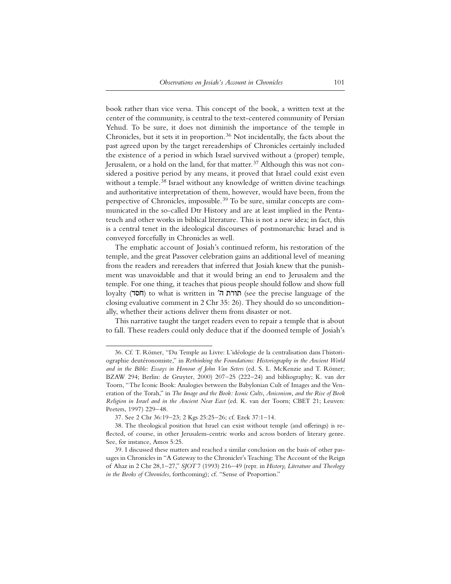book rather than vice versa. This concept of the book, a written text at the center of the community, is central to the text-centered community of Persian Yehud. To be sure, it does not diminish the importance of the temple in Chronicles, but it sets it in proportion.<sup>36</sup> Not incidentally, the facts about the past agreed upon by the target rereaderships of Chronicles certainly included the existence of a period in which Israel survived without a (proper) temple, Jerusalem, or a hold on the land, for that matter.<sup>37</sup> Although this was not considered a positive period by any means, it proved that Israel could exist even without a temple.<sup>38</sup> Israel without any knowledge of written divine teachings and authoritative interpretation of them, however, would have been, from the perspective of Chronicles, impossible.<sup>39</sup> To be sure, similar concepts are communicated in the so-called Dtr History and are at least implied in the Pentateuch and other works in biblical literature. This is not a new idea; in fact, this is a central tenet in the ideological discourses of postmonarchic Israel and is conveyed forcefully in Chronicles as well.

The emphatic account of Josiah's continued reform, his restoration of the temple, and the great Passover celebration gains an additional level of meaning from the readers and rereaders that inferred that Josiah knew that the punishment was unavoidable and that it would bring an end to Jerusalem and the temple. For one thing, it teaches that pious people should follow and show full loyalty (חסד) to what is written in **הורת ה**<sup>1</sup> (see the precise language of the closing evaluative comment in 2 Chr 35: 26). They should do so unconditionally, whether their actions deliver them from disaster or not.

This narrative taught the target readers even to repair a temple that is about to fall. These readers could only deduce that if the doomed temple of Josiah's

<sup>36.</sup> Cf. T. Römer, "Du Temple au Livre: L'idéologie de la centralisation dans l'historiographie deutéronomiste," in *Rethinking the Foundations: Historiography in the Ancient World and in the Bible: Essays in Honour of John Van Seters* (ed. S. L. McKenzie and T. Römer; BZAW 294; Berlin: de Gruyter, 2000) 207–25 (222–24) and bibliography; K. van der Toorn, "The Iconic Book: Analogies between the Babylonian Cult of Images and the Veneration of the Torah," in *The Image and the Book: Iconic Cults, Aniconism, and the Rise of Book Religion in Israel and in the Ancient Near East* (ed. K. van der Toorn; CBET 21; Leuven: Peeters, 1997) 229–48.

<sup>37.</sup> See 2 Chr 36:19–23; 2 Kgs 25:25–26; cf. Ezek 37:1–14.

<sup>38.</sup> The theological position that Israel can exist without temple (and offerings) is reflected, of course, in other Jerusalem-centric works and across borders of literary genre. See, for instance, Amos 5:25.

<sup>39.</sup> I discussed these matters and reached a similar conclusion on the basis of other passages in Chronicles in "A Gateway to the Chronicler's Teaching: The Account of the Reign of Ahaz in 2 Chr 28,1–27," *SJOT* 7 (1993) 216–49 (repr. in *History, Literature and Theology in the Books of Chronicles*, forthcoming); cf. "Sense of Proportion."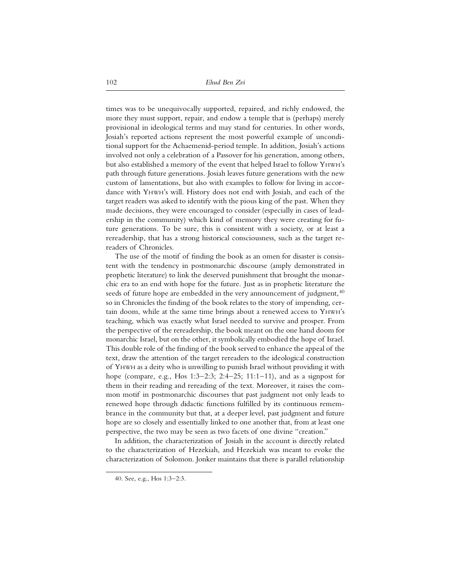times was to be unequivocally supported, repaired, and richly endowed, the more they must support, repair, and endow a temple that is (perhaps) merely provisional in ideological terms and may stand for centuries. In other words, Josiah's reported actions represent the most powerful example of unconditional support for the Achaemenid-period temple. In addition, Josiah's actions involved not only a celebration of a Passover for his generation, among others, but also established a memory of the event that helped Israel to follow Yhwh's path through future generations. Josiah leaves future generations with the new custom of lamentations, but also with examples to follow for living in accordance with Yhwh's will. History does not end with Josiah, and each of the target readers was asked to identify with the pious king of the past. When they made decisions, they were encouraged to consider (especially in cases of leadership in the community) which kind of memory they were creating for future generations. To be sure, this is consistent with a society, or at least a rereadership, that has a strong historical consciousness, such as the target rereaders of Chronicles.

The use of the motif of finding the book as an omen for disaster is consistent with the tendency in postmonarchic discourse (amply demonstrated in prophetic literature) to link the deserved punishment that brought the monarchic era to an end with hope for the future. Just as in prophetic literature the seeds of future hope are embedded in the very announcement of judgment,  $40$ so in Chronicles the finding of the book relates to the story of impending, certain doom, while at the same time brings about a renewed access to Yhwh's teaching, which was exactly what Israel needed to survive and prosper. From the perspective of the rereadership, the book meant on the one hand doom for monarchic Israel, but on the other, it symbolically embodied the hope of Israel. This double role of the finding of the book served to enhance the appeal of the text, draw the attention of the target rereaders to the ideological construction of Yhwh as a deity who is unwilling to punish Israel without providing it with hope (compare, e.g., Hos 1:3–2:3; 2:4–25; 11:1–11), and as a signpost for them in their reading and rereading of the text. Moreover, it raises the common motif in postmonarchic discourses that past judgment not only leads to renewed hope through didactic functions fulfilled by its continuous remembrance in the community but that, at a deeper level, past judgment and future hope are so closely and essentially linked to one another that, from at least one perspective, the two may be seen as two facets of one divine "creation."

In addition, the characterization of Josiah in the account is directly related to the characterization of Hezekiah, and Hezekiah was meant to evoke the characterization of Solomon. Jonker maintains that there is parallel relationship

<sup>40.</sup> See, e.g., Hos 1:3–2:3.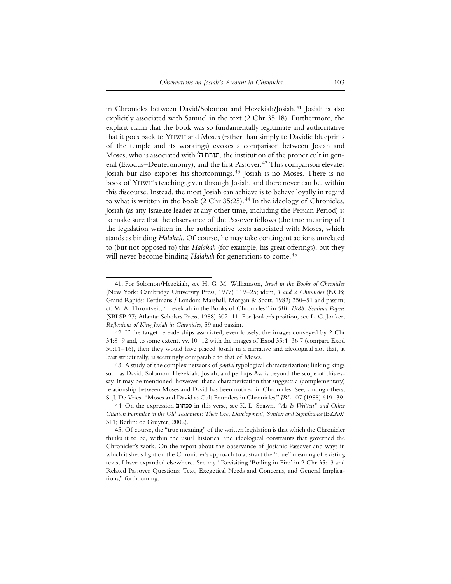in Chronicles between David/Solomon and Hezekiah/Josiah.<sup>41</sup> Josiah is also explicitly associated with Samuel in the text (2 Chr 35:18). Furthermore, the explicit claim that the book was so fundamentally legitimate and authoritative that it goes back to Yhwh and Moses (rather than simply to Davidic blueprints of the temple and its workings) evokes a comparison between Josiah and Moses, who is associated with  $\pi$ , תורת ה $n$ , the institution of the proper cult in general (Exodus–Deuteronomy), and the first Passover.<sup>42</sup> This comparison elevates Josiah but also exposes his shortcomings.43 Josiah is no Moses. There is no book of Yhwh's teaching given through Josiah, and there never can be, within this discourse. Instead, the most Josiah can achieve is to behave loyally in regard to what is written in the book (2 Chr 35:25).<sup>44</sup> In the ideology of Chronicles, Josiah (as any Israelite leader at any other time, including the Persian Period) is to make sure that the observance of the Passover follows (the true meaning of ) the legislation written in the authoritative texts associated with Moses, which stands as binding *Halakah*. Of course, he may take contingent actions unrelated to (but not opposed to) this *Halakah* (for example, his great offerings), but they will never become binding *Halakah* for generations to come.<sup>45</sup>

<sup>41.</sup> For Solomon/Hezekiah, see H. G. M. Williamson, *Israel in the Books of Chronicles* (New York: Cambridge University Press, 1977) 119–25; idem, *1 and 2 Chronicles* (NCB; Grand Rapids: Eerdmans / London: Marshall, Morgan & Scott, 1982) 350–51 and passim; cf. M. A. Throntveit, "Hezekiah in the Books of Chronicles," in *SBL 1988: Seminar Papers* (SBLSP 27; Atlanta: Scholars Press, 1988) 302–11. For Jonker's position, see L. C. Jonker, *Reflections of King Josiah in Chronicles,* 59 and passim.

<sup>42.</sup> If the target rereaderships associated, even loosely, the images conveyed by 2 Chr 34:8–9 and, to some extent, vv. 10–12 with the images of Exod 35:4–36:7 (compare Exod 30:11–16), then they would have placed Josiah in a narrative and ideological slot that, at least structurally, is seemingly comparable to that of Moses.

<sup>43.</sup> A study of the complex network of *partial* typological characterizations linking kings such as David, Solomon, Hezekiah, Josiah, and perhaps Asa is beyond the scope of this essay. It may be mentioned, however, that a characterization that suggests a (complementary) relationship between Moses and David has been noticed in Chronicles. See, among others, S. J. De Vries, "Moses and David as Cult Founders in Chronicles," *JBL* 107 (1988) 619–39.

<sup>44.</sup> On the expression bwtkk in this verse, see K. L. Spawn, *"As Is Written" and Other Citation Formulae in the Old Testament: Their Use, Development, Syntax and Significance*(BZAW 311; Berlin: de Gruyter, 2002).

<sup>45.</sup> Of course, the "true meaning" of the written legislation is that which the Chronicler thinks it to be, within the usual historical and ideological constraints that governed the Chronicler's work. On the report about the observance of Josianic Passover and ways in which it sheds light on the Chronicler's approach to abstract the "true" meaning of existing texts, I have expanded elsewhere. See my "Revisiting 'Boiling in Fire' in 2 Chr 35:13 and Related Passover Questions: Text, Exegetical Needs and Concerns, and General Implications," forthcoming.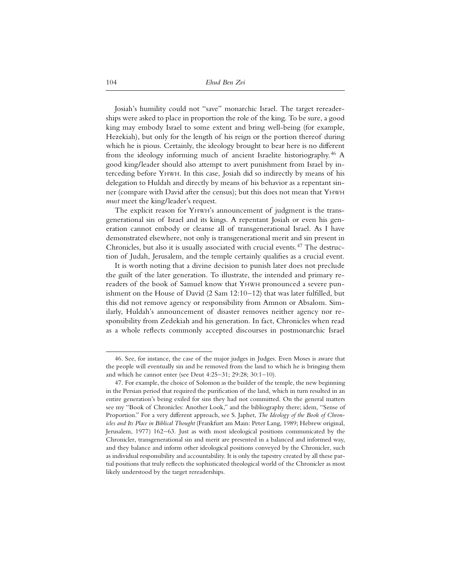Josiah's humility could not "save" monarchic Israel. The target rereaderships were asked to place in proportion the role of the king. To be sure, a good king may embody Israel to some extent and bring well-being (for example, Hezekiah), but only for the length of his reign or the portion thereof during which he is pious. Certainly, the ideology brought to bear here is no different from the ideology informing much of ancient Israelite historiography.46 A good king/leader should also attempt to avert punishment from Israel by interceding before Yhwh. In this case, Josiah did so indirectly by means of his delegation to Huldah and directly by means of his behavior as a repentant sinner (compare with David after the census); but this does not mean that Yhwh *must* meet the king/leader's request.

The explicit reason for Yhwh's announcement of judgment is the transgenerational sin of Israel and its kings. A repentant Josiah or even his generation cannot embody or cleanse all of transgenerational Israel. As I have demonstrated elsewhere, not only is transgenerational merit and sin present in Chronicles, but also it is usually associated with crucial events.47 The destruction of Judah, Jerusalem, and the temple certainly qualifies as a crucial event.

It is worth noting that a divine decision to punish later does not preclude the guilt of the later generation. To illustrate, the intended and primary rereaders of the book of Samuel know that Yhwh pronounced a severe punishment on the House of David (2 Sam 12:10–12) that was later fulfilled, but this did not remove agency or responsibility from Amnon or Absalom. Similarly, Huldah's announcement of disaster removes neither agency nor responsibility from Zedekiah and his generation. In fact, Chronicles when read as a whole reflects commonly accepted discourses in postmonarchic Israel

<sup>46.</sup> See, for instance, the case of the major judges in Judges. Even Moses is aware that the people will eventually sin and be removed from the land to which he is bringing them and which he cannot enter (see Deut 4:25–31; 29:28; 30:1–10).

<sup>47.</sup> For example, the choice of Solomon as the builder of the temple, the new beginning in the Persian period that required the purification of the land, which in turn resulted in an entire generation's being exiled for sins they had not committed. On the general matters see my "Book of Chronicles: Another Look," and the bibliography there; idem, "Sense of Proportion." For a very different approach, see S. Japhet, *The Ideology of the Book of Chronicles and Its Place in Biblical Thought* (Frankfurt am Main: Peter Lang, 1989; Hebrew original, Jerusalem, 1977) 162–63. Just as with most ideological positions communicated by the Chronicler, transgenerational sin and merit are presented in a balanced and informed way, and they balance and inform other ideological positions conveyed by the Chronicler, such as individual responsibility and accountability. It is only the tapestry created by all these partial positions that truly reflects the sophisticated theological world of the Chronicler as most likely understood by the target rereaderships.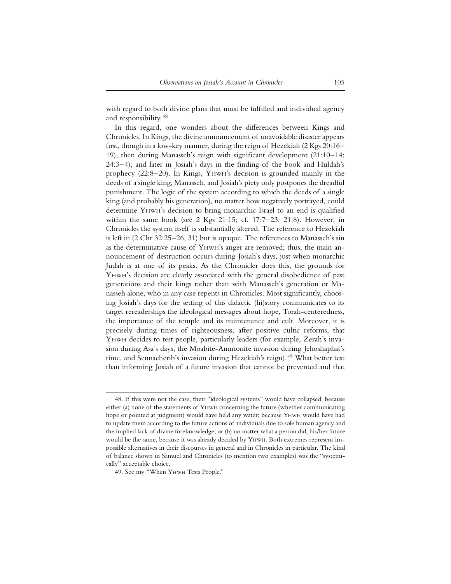with regard to both divine plans that must be fulfilled and individual agency and responsibility.48

In this regard, one wonders about the differences between Kings and Chronicles. In Kings, the divine announcement of unavoidable disaster appears first, though in a low-key manner, during the reign of Hezekiah (2 Kgs 20:16– 19), then during Manasseh's reign with significant development (21:10–14; 24:3–4), and later in Josiah's days in the finding of the book and Huldah's prophecy (22:8–20). In Kings, Yhwh's decision is grounded mainly in the deeds of a single king, Manasseh, and Josiah's piety only postpones the dreadful punishment. The logic of the system according to which the deeds of a single king (and probably his generation), no matter how negatively portrayed, could determine Yhwh's decision to bring monarchic Israel to an end is qualified within the same book (see 2 Kgs 21:15; cf. 17:7–23; 21:8). However, in Chronicles the system itself is substantially altered. The reference to Hezekiah is left in (2 Chr 32:25–26, 31) but is opaque. The references to Manasseh's sin as the determinative cause of Yhwh's anger are removed; thus, the main announcement of destruction occurs during Josiah's days, just when monarchic Judah is at one of its peaks. As the Chronicler does this, the grounds for Yhwh's decision are clearly associated with the general disobedience of past generations and their kings rather than with Manasseh's generation or Manasseh alone, who in any case repents in Chronicles. Most significantly, choosing Josiah's days for the setting of this didactic (hi)story communicates to its target rereaderships the ideological messages about hope, Torah-centeredness, the importance of the temple and its maintenance and cult. Moreover, it is precisely during times of righteousness, after positive cultic reforms, that Yhwh decides to test people, particularly leaders (for example, Zerah's invasion during Asa's days, the Moabite-Ammonite invasion during Jehoshaphat's time, and Sennacherib's invasion during Hezekiah's reign).<sup>49</sup> What better test than informing Josiah of a future invasion that cannot be prevented and that

<sup>48.</sup> If this were not the case, their "ideological systems" would have collapsed, because either (a) none of the statements of Yhwh concerning the future (whether communicating hope or pointed at judgment) would have held any water; because Yhwh would have had to update them according to the future actions of individuals due to sole human agency and the implied lack of divine foreknowledge; or (b) no matter what a person did, his/her future would be the same, because it was already decided by Yhwh. Both extremes represent impossible alternatives in their discourses in general and in Chronicles in particular. The kind of balance shown in Samuel and Chronicles (to mention two examples) was the "systemically" acceptable choice.

<sup>49.</sup> See my "When Yhwh Tests People."